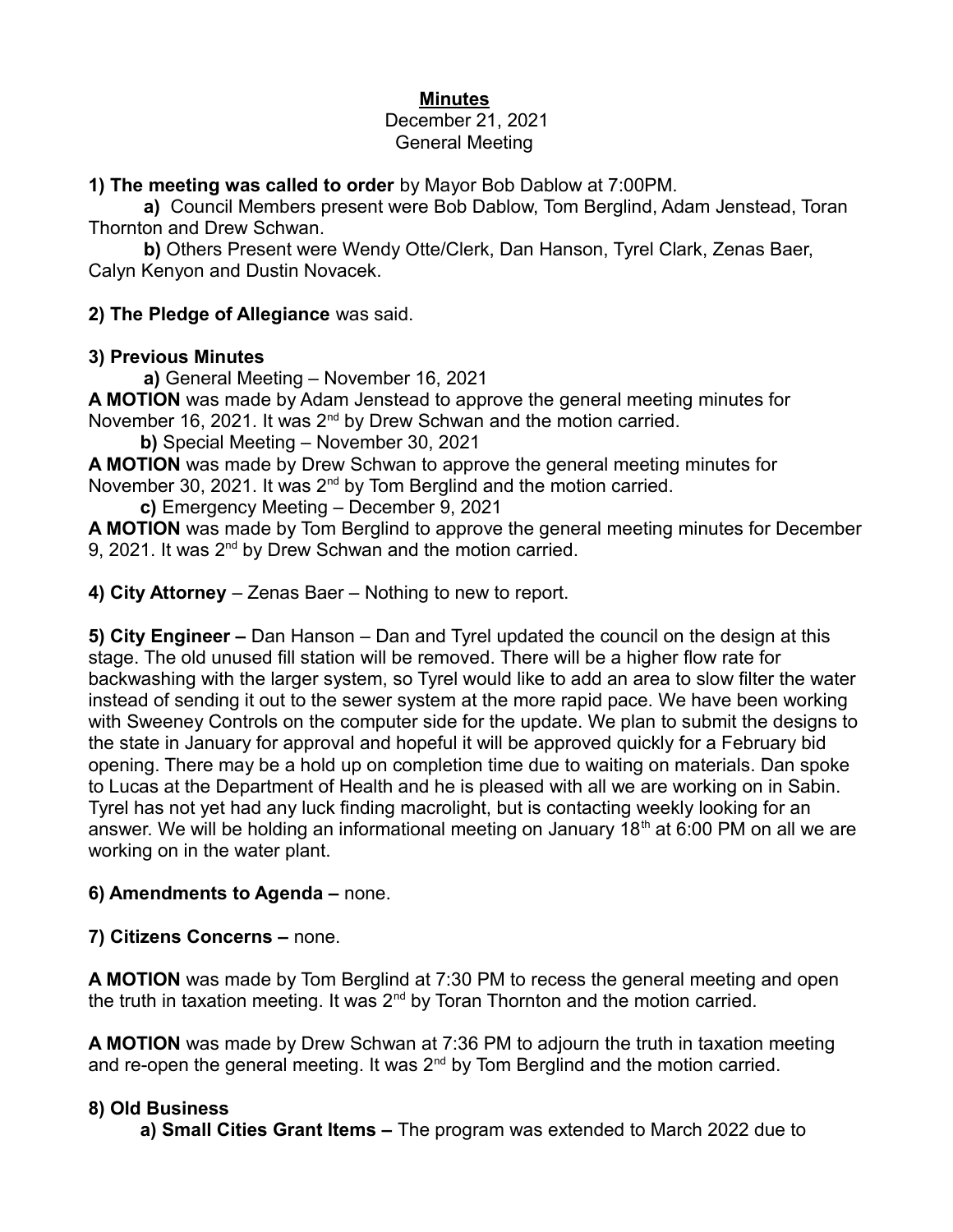## **Minutes**

#### December 21, 2021 General Meeting

#### **1) The meeting was called to order** by Mayor Bob Dablow at 7:00PM.

**a)** Council Members present were Bob Dablow, Tom Berglind, Adam Jenstead, Toran Thornton and Drew Schwan.

**b)** Others Present were Wendy Otte/Clerk, Dan Hanson, Tyrel Clark, Zenas Baer, Calyn Kenyon and Dustin Novacek.

**2) The Pledge of Allegiance** was said.

## **3) Previous Minutes**

**a)** General Meeting – November 16, 2021

**A MOTION** was made by Adam Jenstead to approve the general meeting minutes for November 16, 2021. It was  $2^{nd}$  by Drew Schwan and the motion carried.

 **b)** Special Meeting – November 30, 2021

**A MOTION** was made by Drew Schwan to approve the general meeting minutes for November 30, 2021. It was 2<sup>nd</sup> by Tom Berglind and the motion carried.

 **c)** Emergency Meeting – December 9, 2021

**A MOTION** was made by Tom Berglind to approve the general meeting minutes for December 9, 2021. It was 2<sup>nd</sup> by Drew Schwan and the motion carried.

**4) City Attorney** – Zenas Baer – Nothing to new to report.

**5) City Engineer –** Dan Hanson – Dan and Tyrel updated the council on the design at this stage. The old unused fill station will be removed. There will be a higher flow rate for backwashing with the larger system, so Tyrel would like to add an area to slow filter the water instead of sending it out to the sewer system at the more rapid pace. We have been working with Sweeney Controls on the computer side for the update. We plan to submit the designs to the state in January for approval and hopeful it will be approved quickly for a February bid opening. There may be a hold up on completion time due to waiting on materials. Dan spoke to Lucas at the Department of Health and he is pleased with all we are working on in Sabin. Tyrel has not yet had any luck finding macrolight, but is contacting weekly looking for an answer. We will be holding an informational meeting on January 18<sup>th</sup> at 6:00 PM on all we are working on in the water plant.

# **6) Amendments to Agenda –** none.

**7) Citizens Concerns –** none.

**A MOTION** was made by Tom Berglind at 7:30 PM to recess the general meeting and open the truth in taxation meeting. It was 2<sup>nd</sup> by Toran Thornton and the motion carried.

**A MOTION** was made by Drew Schwan at 7:36 PM to adjourn the truth in taxation meeting and re-open the general meeting. It was  $2<sup>nd</sup>$  by Tom Berglind and the motion carried.

# **8) Old Business**

 **a) Small Cities Grant Items –** The program was extended to March 2022 due to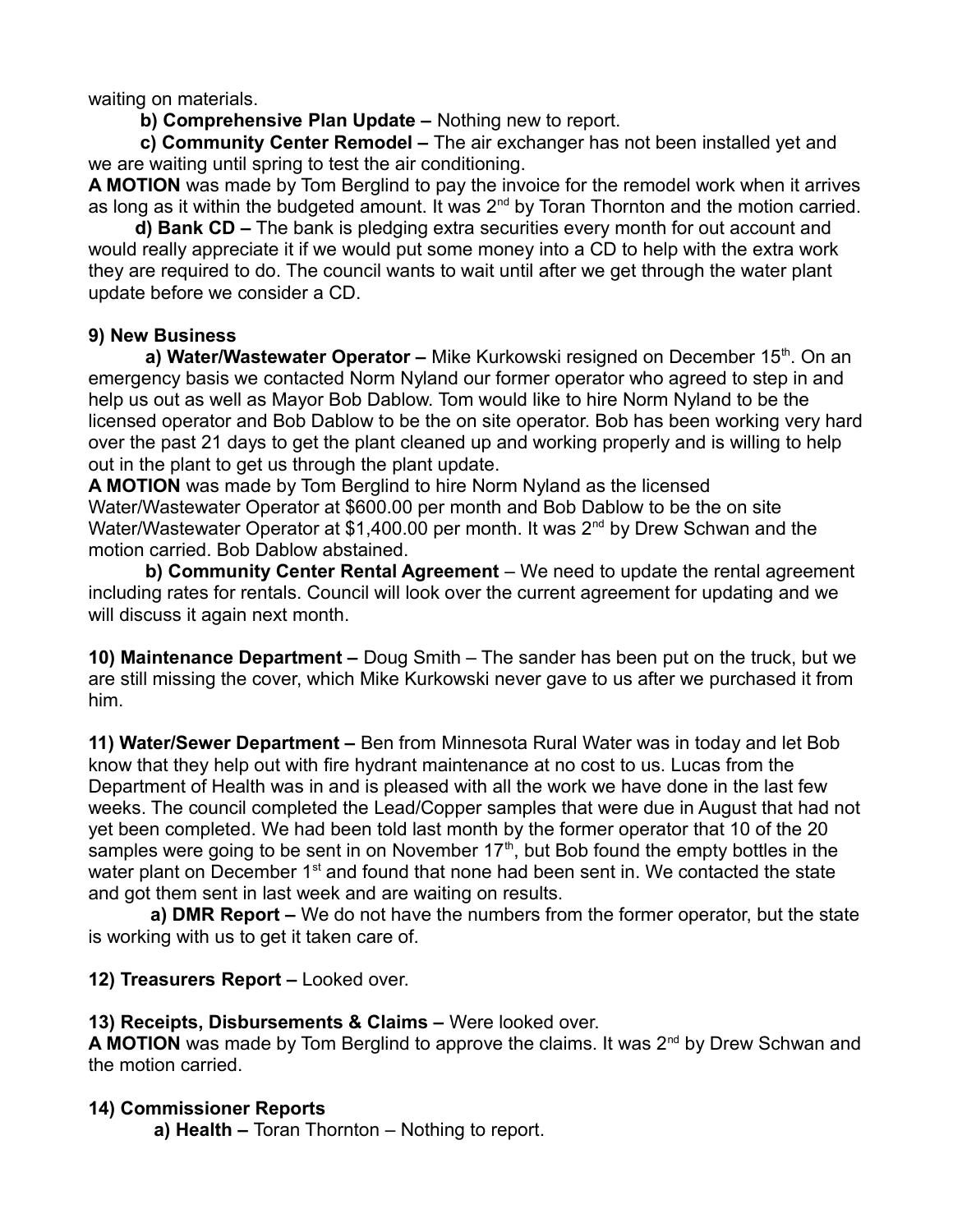waiting on materials.

 **b) Comprehensive Plan Update –** Nothing new to report.

 **c) Community Center Remodel –** The air exchanger has not been installed yet and we are waiting until spring to test the air conditioning.

**A MOTION** was made by Tom Berglind to pay the invoice for the remodel work when it arrives as long as it within the budgeted amount. It was  $2^{nd}$  by Toran Thornton and the motion carried.

 **d) Bank CD –** The bank is pledging extra securities every month for out account and would really appreciate it if we would put some money into a CD to help with the extra work they are required to do. The council wants to wait until after we get through the water plant update before we consider a CD.

#### **9) New Business**

**a) Water/Wastewater Operator –** Mike Kurkowski resigned on December 15<sup>th</sup>. On an emergency basis we contacted Norm Nyland our former operator who agreed to step in and help us out as well as Mayor Bob Dablow. Tom would like to hire Norm Nyland to be the licensed operator and Bob Dablow to be the on site operator. Bob has been working very hard over the past 21 days to get the plant cleaned up and working properly and is willing to help out in the plant to get us through the plant update.

**A MOTION** was made by Tom Berglind to hire Norm Nyland as the licensed Water/Wastewater Operator at \$600.00 per month and Bob Dablow to be the on site Water/Wastewater Operator at \$1,400.00 per month. It was 2<sup>nd</sup> by Drew Schwan and the motion carried. Bob Dablow abstained.

 **b) Community Center Rental Agreement** – We need to update the rental agreement including rates for rentals. Council will look over the current agreement for updating and we will discuss it again next month.

**10) Maintenance Department –** Doug Smith – The sander has been put on the truck, but we are still missing the cover, which Mike Kurkowski never gave to us after we purchased it from him.

**11) Water/Sewer Department –** Ben from Minnesota Rural Water was in today and let Bob know that they help out with fire hydrant maintenance at no cost to us. Lucas from the Department of Health was in and is pleased with all the work we have done in the last few weeks. The council completed the Lead/Copper samples that were due in August that had not yet been completed. We had been told last month by the former operator that 10 of the 20 samples were going to be sent in on November  $17<sup>th</sup>$ , but Bob found the empty bottles in the water plant on December 1<sup>st</sup> and found that none had been sent in. We contacted the state and got them sent in last week and are waiting on results.

 **a) DMR Report –** We do not have the numbers from the former operator, but the state is working with us to get it taken care of.

**12) Treasurers Report –** Looked over.

**13) Receipts, Disbursements & Claims –** Were looked over.

A MOTION was made by Tom Berglind to approve the claims. It was 2<sup>nd</sup> by Drew Schwan and the motion carried.

## **14) Commissioner Reports**

**a) Health –** Toran Thornton – Nothing to report.